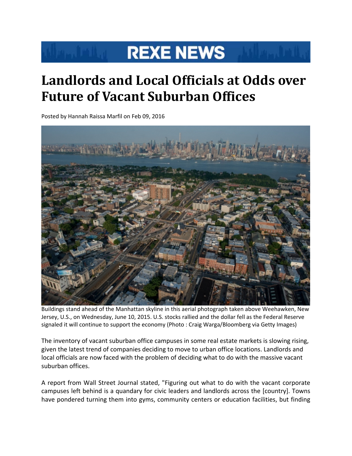## **REXE NEWS**

## **Landlords and Local Officials at Odds over Future of Vacant Suburban Offices**

Posted by Hannah Raissa Marfil on Feb 09, 2016



 Buildings stand ahead of the Manhattan skyline in this aerial photograph taken above Weehawken, New Jersey, U.S., on Wednesday, June 10, 2015. U.S. stocks rallied and the dollar fell as the Federal Reserve signaled it will continue to support the economy (Photo : Craig Warga/Bloomberg via Getty Images)

The inventory of vacant suburban office campuses in some real estate markets is slowing rising, given the latest trend of companies deciding to move to urban office locations. Landlords and local officials are now faced with the problem of deciding what to do with the massive vacant suburban offices.

A report from Wall Street Journal stated, "Figuring out what to do with the vacant corporate campuses left behind is a quandary for civic leaders and landlords across the [country]. Towns have pondered turning them into gyms, community centers or education facilities, but finding